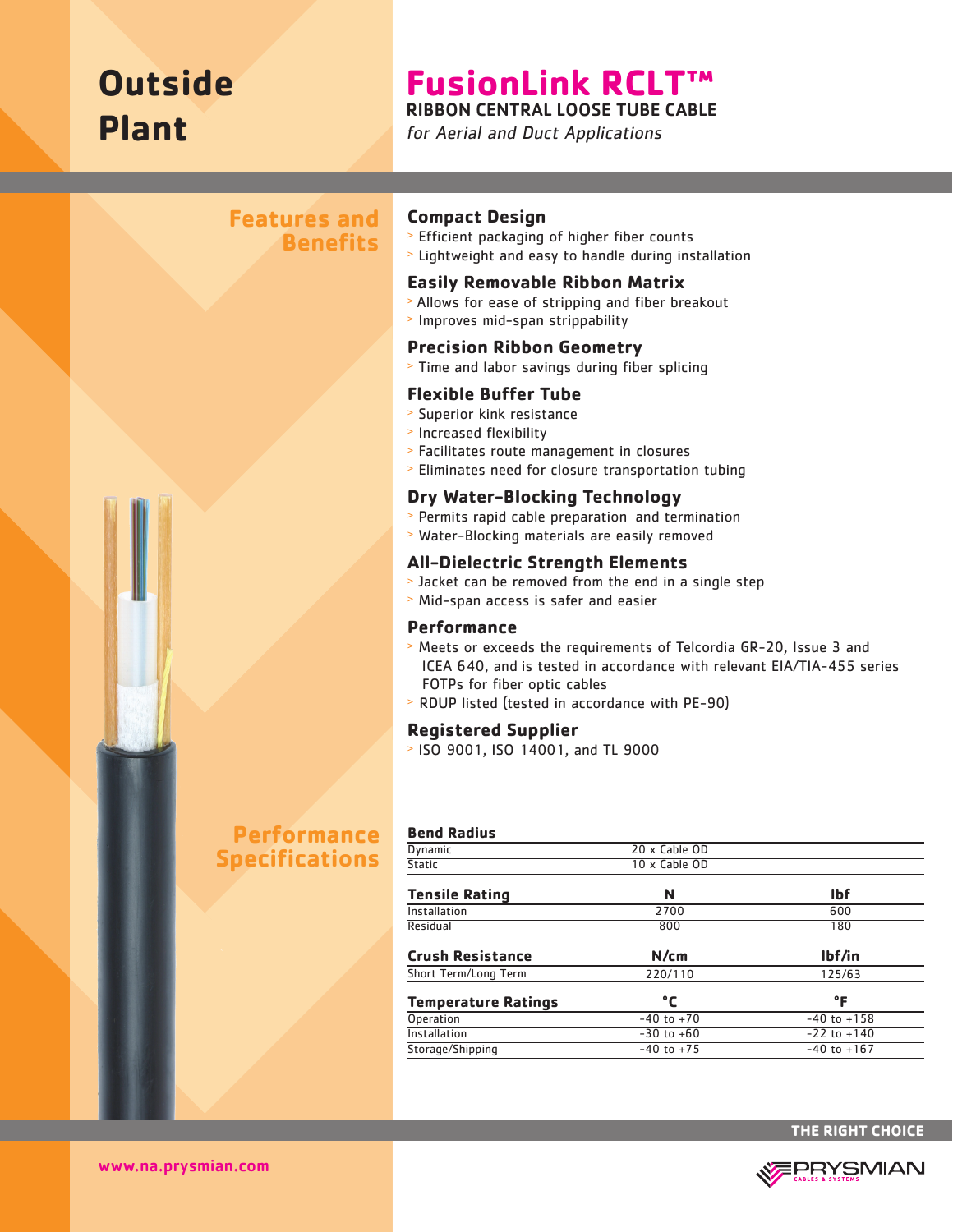# **Outside Plant**

# **FusionLink RCLT™**  RIBBON CENTRAL LOOSE TUBE CABLE

for Aerial and Duct Applications

## **Features and Benefits**



## **Compact Design**

- <sup>&</sup>gt; Efficient packaging of higher fiber counts
- <sup>&</sup>gt; Lightweight and easy to handle during installation

#### **Easily Removable Ribbon Matrix**

- <sup>&</sup>gt; Allows for ease of stripping and fiber breakout
- <sup>&</sup>gt; Improves mid-span strippability

#### **Precision Ribbon Geometry**

<sup>&</sup>gt; Time and labor savings during fiber splicing

#### **Flexible Buffer Tube**

- > Superior kink resistance
- <sup>&</sup>gt; Increased flexibility
- <sup>&</sup>gt; Facilitates route management in closures
- <sup>&</sup>gt; Eliminates need for closure transportation tubing

## **Dry Water-Blocking Technology**

- <sup>&</sup>gt; Permits rapid cable preparation and termination
- <sup>&</sup>gt; Water-Blocking materials are easily removed

#### **All-Dielectric Strength Elements**

- <sup>&</sup>gt; Jacket can be removed from the end in a single step
- <sup>&</sup>gt; Mid-span access is safer and easier

#### **Performance**

- <sup>&</sup>gt; Meets or exceeds the requirements of Telcordia GR-20, Issue 3 and ICEA 640, and is tested in accordance with relevant EIA/TIA-455 series FOTPs for fiber optic cables
- > RDUP listed (tested in accordance with PE-90)

#### **Registered Supplier**

<sup>&</sup>gt; ISO 9001, ISO 14001, and TL 9000

# **Performance Specifications**

| <b>Bend Radius</b>         |                      |                 |  |
|----------------------------|----------------------|-----------------|--|
| <b>Dynamic</b>             | $20 \times$ Cable OD |                 |  |
| Static                     | 10 x Cable OD        |                 |  |
| <b>Tensile Rating</b>      | N                    | <b>Ibf</b>      |  |
| Installation               | 2700                 | 600             |  |
| Residual                   | 800                  | 180             |  |
| <b>Crush Resistance</b>    | N/cm                 | lbf/in          |  |
| Short Term/Long Term       | 220/110              | 125/63          |  |
| <b>Temperature Ratings</b> | °C                   | °F              |  |
| <b>Operation</b>           | $-40$ to $+70$       | $-40$ to $+158$ |  |
| Installation               | $-30$ to $+60$       | $-22$ to $+140$ |  |
| Storage/Shipping           | $-40$ to $+75$       | $-40$ to $+167$ |  |
|                            |                      |                 |  |